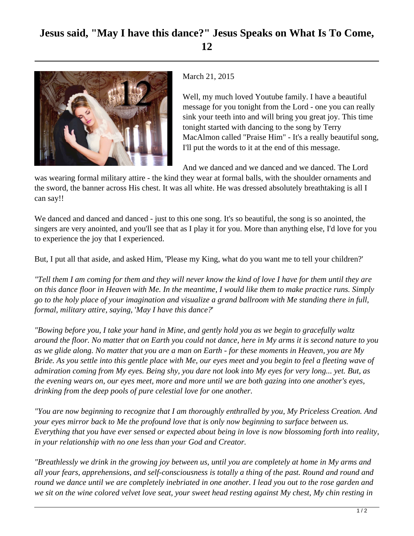## **Jesus said, "May I have this dance?" Jesus Speaks on What Is To Come, 12**



March 21, 2015

Well, my much loved Youtube family. I have a beautiful message for you tonight from the Lord - one you can really sink your teeth into and will bring you great joy. This time tonight started with dancing to the song by Terry MacAlmon called "Praise Him" - It's a really beautiful song, I'll put the words to it at the end of this message.

And we danced and we danced and we danced. The Lord

was wearing formal military attire - the kind they wear at formal balls, with the shoulder ornaments and the sword, the banner across His chest. It was all white. He was dressed absolutely breathtaking is all I can say!!

We danced and danced and danced - just to this one song. It's so beautiful, the song is so anointed, the singers are very anointed, and you'll see that as I play it for you. More than anything else, I'd love for you to experience the joy that I experienced.

But, I put all that aside, and asked Him, 'Please my King, what do you want me to tell your children?'

*"Tell them I am coming for them and they will never know the kind of love I have for them until they are on this dance floor in Heaven with Me. In the meantime, I would like them to make practice runs. Simply go to the holy place of your imagination and visualize a grand ballroom with Me standing there in full, formal, military attire, saying,* '*May I have this dance?*'

*"Bowing before you, I take your hand in Mine, and gently hold you as we begin to gracefully waltz around the floor. No matter that on Earth you could not dance, here in My arms it is second nature to you as we glide along. No matter that you are a man on Earth - for these moments in Heaven, you are My Bride. As you settle into this gentle place with Me, our eyes meet and you begin to feel a fleeting wave of admiration coming from My eyes. Being shy, you dare not look into My eyes for very long... yet. But, as the evening wears on, our eyes meet, more and more until we are both gazing into one another's eyes, drinking from the deep pools of pure celestial love for one another.*

*"You are now beginning to recognize that I am thoroughly enthralled by you, My Priceless Creation. And your eyes mirror back to Me the profound love that is only now beginning to surface between us. Everything that you have ever sensed or expected about being in love is now blossoming forth into reality, in your relationship with no one less than your God and Creator.*

*"Breathlessly we drink in the growing joy between us, until you are completely at home in My arms and all your fears, apprehensions, and self-consciousness is totally a thing of the past. Round and round and round we dance until we are completely inebriated in one another. I lead you out to the rose garden and we sit on the wine colored velvet love seat, your sweet head resting against My chest, My chin resting in*